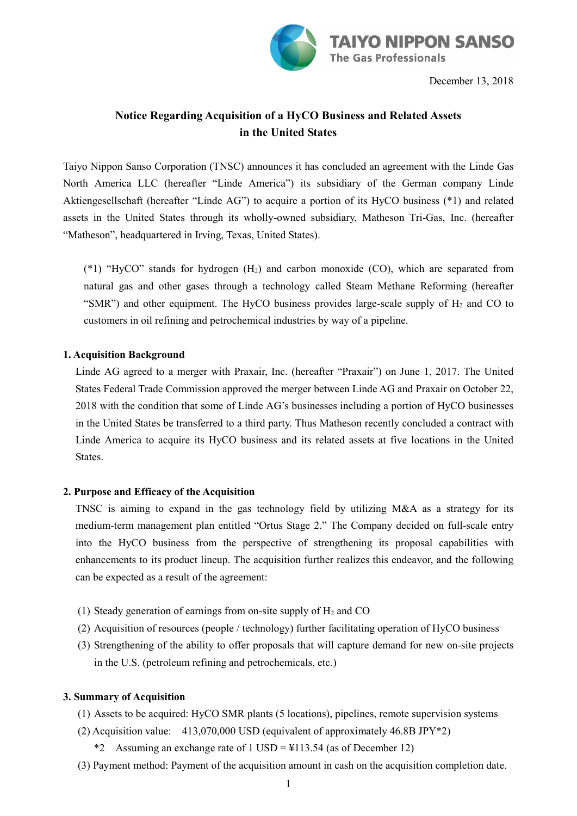

December 13, 2018

# **Notice Regarding Acquisition of a HyCO Business and Related Assets in the United States**

Taiyo Nippon Sanso Corporation (TNSC) announces it has concluded an agreement with the Linde Gas North America LLC (hereafter "Linde America") its subsidiary of the German company Linde Aktiengesellschaft (hereafter "Linde AG") to acquire a portion of its HyCO business (\*1) and related assets in the United States through its wholly-owned subsidiary, Matheson Tri-Gas, Inc. (hereafter "Matheson", headquartered in Irving, Texas, United States).

(\*1) "HyCO" stands for hydrogen (H2) and carbon monoxide (CO), which are separated from natural gas and other gases through a technology called Steam Methane Reforming (hereafter "SMR") and other equipment. The HyCO business provides large-scale supply of  $H_2$  and CO to customers in oil refining and petrochemical industries by way of a pipeline.

#### **1. Acquisition Background**

Linde AG agreed to a merger with Praxair, Inc. (hereafter "Praxair") on June 1, 2017. The United States Federal Trade Commission approved the merger between Linde AG and Praxair on October 22, 2018 with the condition that some of Linde AG's businesses including a portion of HyCO businesses in the United States be transferred to a third party. Thus Matheson recently concluded a contract with Linde America to acquire its HyCO business and its related assets at five locations in the United States.

#### **2. Purpose and Efficacy of the Acquisition**

TNSC is aiming to expand in the gas technology field by utilizing M&A as a strategy for its medium-term management plan entitled "Ortus Stage 2." The Company decided on full-scale entry into the HyCO business from the perspective of strengthening its proposal capabilities with enhancements to its product lineup. The acquisition further realizes this endeavor, and the following can be expected as a result of the agreement:

- (1) Steady generation of earnings from on-site supply of  $H_2$  and CO
- (2) Acquisition of resources (people / technology) further facilitating operation of HyCO business
- (3) Strengthening of the ability to offer proposals that will capture demand for new on-site projects in the U.S. (petroleum refining and petrochemicals, etc.)

#### **3. Summary of Acquisition**

- (1) Assets to be acquired: HyCO SMR plants (5 locations), pipelines, remote supervision systems
- (2) Acquisition value: 413,070,000 USD (equivalent of approximately 46.8B JPY\*2)
	- \*2 Assuming an exchange rate of 1 USD =  $\frac{113.54}{3}$  (as of December 12)
- (3) Payment method: Payment of the acquisition amount in cash on the acquisition completion date.